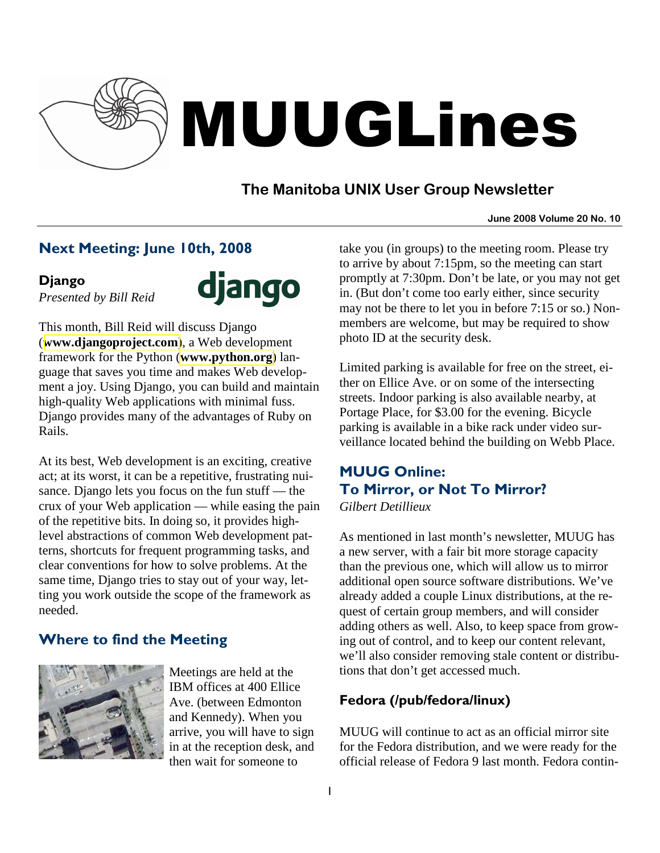

# MUUGLines

# **The Manitoba UNIX User Group Newsletter**

#### **June 2008 Volume 20 No. 10**

# Next Meeting: June 10th, 2008

#### Django

*Presented by Bill Reid* 



This month, Bill Reid will discuss Django (**[www.djangoproject.com](http://www.djangoproject.com/)**), a Web development framework for the Python (**[www.python.org](http://www.python.org/)**) language that saves you time and makes Web development a joy. Using Django, you can build and maintain high-quality Web applications with minimal fuss. Django provides many of the advantages of Ruby on Rails.

At its best, Web development is an exciting, creative act; at its worst, it can be a repetitive, frustrating nuisance. Django lets you focus on the fun stuff — the crux of your Web application — while easing the pain of the repetitive bits. In doing so, it provides highlevel abstractions of common Web development patterns, shortcuts for frequent programming tasks, and clear conventions for how to solve problems. At the same time, Django tries to stay out of your way, letting you work outside the scope of the framework as needed.

# Where to find the Meeting



Meetings are held at the IBM offices at 400 Ellice Ave. (between Edmonton and Kennedy). When you arrive, you will have to sign in at the reception desk, and then wait for someone to

take you (in groups) to the meeting room. Please try to arrive by about 7:15pm, so the meeting can start promptly at 7:30pm. Don't be late, or you may not get in. (But don't come too early either, since security may not be there to let you in before 7:15 or so.) Nonmembers are welcome, but may be required to show photo ID at the security desk.

Limited parking is available for free on the street, either on Ellice Ave. or on some of the intersecting streets. Indoor parking is also available nearby, at Portage Place, for \$3.00 for the evening. Bicycle parking is available in a bike rack under video surveillance located behind the building on Webb Place.

# MUUG Online: To Mirror, or Not To Mirror?

*Gilbert Detillieux* 

As mentioned in last month's newsletter, MUUG has a new server, with a fair bit more storage capacity than the previous one, which will allow us to mirror additional open source software distributions. We've already added a couple Linux distributions, at the request of certain group members, and will consider adding others as well. Also, to keep space from growing out of control, and to keep our content relevant, we'll also consider removing stale content or distributions that don't get accessed much.

# Fedora (/pub/fedora/linux)

MUUG will continue to act as an official mirror site for the Fedora distribution, and we were ready for the official release of Fedora 9 last month. Fedora contin-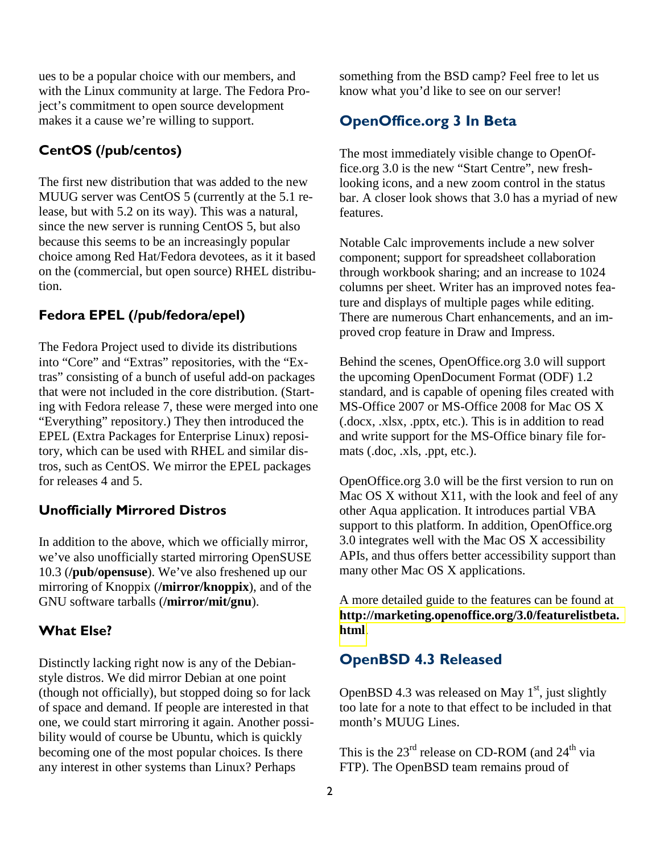ues to be a popular choice with our members, and with the Linux community at large. The Fedora Project's commitment to open source development makes it a cause we're willing to support.

#### CentOS (/pub/centos)

The first new distribution that was added to the new MUUG server was CentOS 5 (currently at the 5.1 release, but with 5.2 on its way). This was a natural, since the new server is running CentOS 5, but also because this seems to be an increasingly popular choice among Red Hat/Fedora devotees, as it it based on the (commercial, but open source) RHEL distribution.

#### Fedora EPEL (/pub/fedora/epel)

The Fedora Project used to divide its distributions into "Core" and "Extras" repositories, with the "Extras" consisting of a bunch of useful add-on packages that were not included in the core distribution. (Starting with Fedora release 7, these were merged into one "Everything" repository.) They then introduced the EPEL (Extra Packages for Enterprise Linux) repository, which can be used with RHEL and similar distros, such as CentOS. We mirror the EPEL packages for releases 4 and 5.

#### Unofficially Mirrored Distros

In addition to the above, which we officially mirror, we've also unofficially started mirroring OpenSUSE 10.3 (**/pub/opensuse**). We've also freshened up our mirroring of Knoppix (**/mirror/knoppix**), and of the GNU software tarballs (**/mirror/mit/gnu**).

#### What Else?

Distinctly lacking right now is any of the Debianstyle distros. We did mirror Debian at one point (though not officially), but stopped doing so for lack of space and demand. If people are interested in that one, we could start mirroring it again. Another possibility would of course be Ubuntu, which is quickly becoming one of the most popular choices. Is there any interest in other systems than Linux? Perhaps

something from the BSD camp? Feel free to let us know what you'd like to see on our server!

#### OpenOffice.org 3 In Beta

The most immediately visible change to OpenOffice.org 3.0 is the new "Start Centre", new freshlooking icons, and a new zoom control in the status bar. A closer look shows that 3.0 has a myriad of new features.

Notable Calc improvements include a new solver component; support for spreadsheet collaboration through workbook sharing; and an increase to 1024 columns per sheet. Writer has an improved notes feature and displays of multiple pages while editing. There are numerous Chart enhancements, and an improved crop feature in Draw and Impress.

Behind the scenes, OpenOffice.org 3.0 will support the upcoming OpenDocument Format (ODF) 1.2 standard, and is capable of opening files created with MS-Office 2007 or MS-Office 2008 for Mac OS X (.docx, .xlsx, .pptx, etc.). This is in addition to read and write support for the MS-Office binary file formats (.doc, .xls, .ppt, etc.).

OpenOffice.org 3.0 will be the first version to run on Mac OS X without X11, with the look and feel of any other Aqua application. It introduces partial VBA support to this platform. In addition, OpenOffice.org 3.0 integrates well with the Mac OS X accessibility APIs, and thus offers better accessibility support than many other Mac OS X applications.

A more detailed guide to the features can be found at **[http://marketing.openoffice.org/3.0/featurelistbeta.](http://marketing.openoffice.org/3.0/featurelistbeta.html) [html](http://marketing.openoffice.org/3.0/featurelistbeta.html)**.

#### OpenBSD 4.3 Released

OpenBSD 4.3 was released on May  $1<sup>st</sup>$ , just slightly too late for a note to that effect to be included in that month's MUUG Lines.

This is the  $23<sup>rd</sup>$  release on CD-ROM (and  $24<sup>th</sup>$  via FTP). The OpenBSD team remains proud of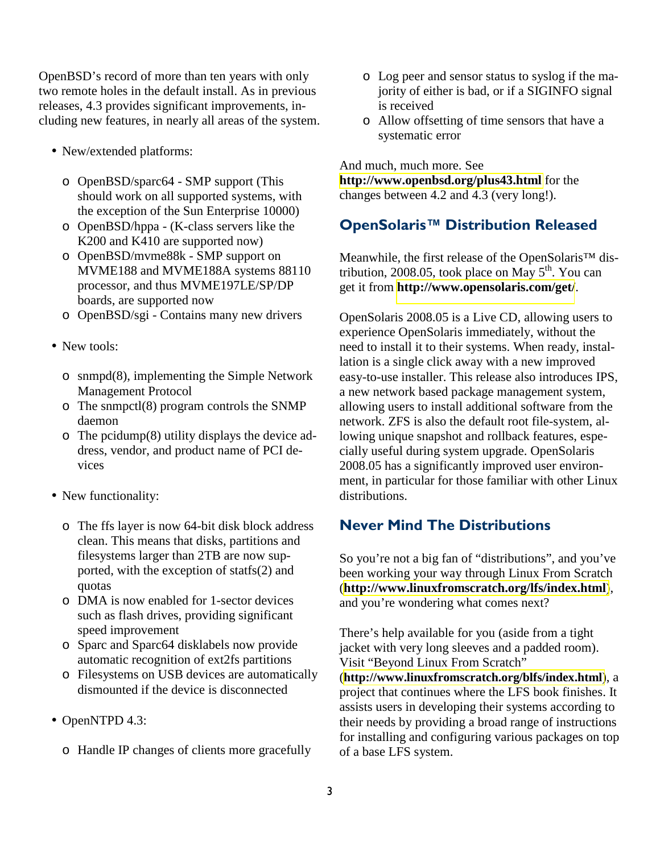OpenBSD's record of more than ten years with only two remote holes in the default install. As in previous releases, 4.3 provides significant improvements, including new features, in nearly all areas of the system.

- New/extended platforms:
	- o OpenBSD/sparc64 SMP support (This should work on all supported systems, with the exception of the Sun Enterprise 10000)
	- o OpenBSD/hppa (K-class servers like the K200 and K410 are supported now)
	- o OpenBSD/mvme88k SMP support on MVME188 and MVME188A systems 88110 processor, and thus MVME197LE/SP/DP boards, are supported now
	- o OpenBSD/sgi Contains many new drivers
- New tools:
	- o snmpd(8), implementing the Simple Network Management Protocol
	- o The snmpctl(8) program controls the SNMP daemon
	- o The pcidump(8) utility displays the device address, vendor, and product name of PCI devices
- New functionality:
	- o The ffs layer is now 64-bit disk block address clean. This means that disks, partitions and filesystems larger than 2TB are now supported, with the exception of statfs(2) and quotas
	- o DMA is now enabled for 1-sector devices such as flash drives, providing significant speed improvement
	- o Sparc and Sparc64 disklabels now provide automatic recognition of ext2fs partitions
	- o Filesystems on USB devices are automatically dismounted if the device is disconnected
- OpenNTPD 4.3:
	- o Handle IP changes of clients more gracefully
- o Log peer and sensor status to syslog if the majority of either is bad, or if a SIGINFO signal is received
- o Allow offsetting of time sensors that have a systematic error

And much, much more. See

**<http://www.openbsd.org/plus43.html>** for the changes between 4.2 and 4.3 (very long!).

### OpenSolaris™ Distribution Released

Meanwhile, the first release of the OpenSolaris™ distribution, 2008.05, took place on May  $5<sup>th</sup>$ . You can get it from **<http://www.opensolaris.com/get/>**.

OpenSolaris 2008.05 is a Live CD, allowing users to experience OpenSolaris immediately, without the need to install it to their systems. When ready, installation is a single click away with a new improved easy-to-use installer. This release also introduces IPS, a new network based package management system, allowing users to install additional software from the network. ZFS is also the default root file-system, allowing unique snapshot and rollback features, especially useful during system upgrade. OpenSolaris 2008.05 has a significantly improved user environment, in particular for those familiar with other Linux distributions.

# Never Mind The Distributions

So you're not a big fan of "distributions", and you've been working your way through Linux From Scratch (**<http://www.linuxfromscratch.org/lfs/index.html>**), and you're wondering what comes next?

There's help available for you (aside from a tight jacket with very long sleeves and a padded room). Visit "Beyond Linux From Scratch"

(**<http://www.linuxfromscratch.org/blfs/index.html>**), a project that continues where the LFS book finishes. It assists users in developing their systems according to their needs by providing a broad range of instructions for installing and configuring various packages on top of a base LFS system.